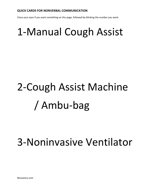Close your eyes if you want something on this page, followed by blinking the number you want:

# 1-Manual Cough Assist

# 2-Cough Assist Machine / Ambu-bag

#### 3-Noninvasive Ventilator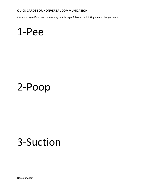Close your eyes if you want something on this page, followed by blinking the number you want:

#### 1-Pee

#### 2-Poop

## 3-Suction

Nevastory.com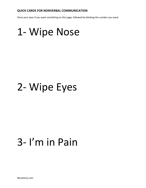Close your eyes if you want something on this page, followed by blinking the number you want:

#### 1- Wipe Nose

### 2- Wipe Eyes

### 3- I'm in Pain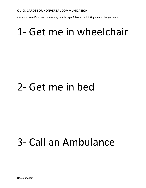Close your eyes if you want something on this page, followed by blinking the number you want:

### 1- Get me in wheelchair

## 2- Get me in bed

### 3- Call an Ambulance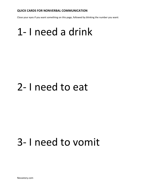Close your eyes if you want something on this page, followed by blinking the number you want:

### 1- I need a drink

#### 2- I need to eat

# 3- I need to vomit